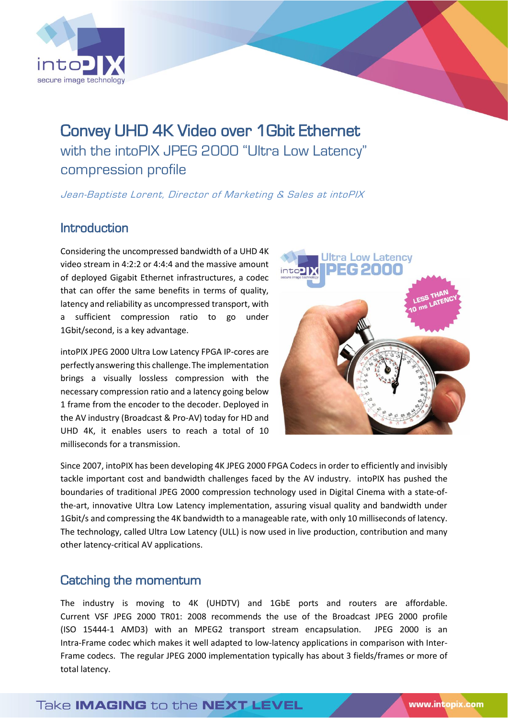

# Convey UHD 4K Video over 1Gbit Ethernet with the intoPIX JPEG 2000 "Ultra Low Latency" compression profile

Jean-Baptiste Lorent, Director of Marketing & Sales at intoPIX

### Introduction

Considering the uncompressed bandwidth of a UHD 4K video stream in 4:2:2 or 4:4:4 and the massive amount of deployed Gigabit Ethernet infrastructures, a codec that can offer the same benefits in terms of quality, latency and reliability as uncompressed transport, with a sufficient compression ratio to go under 1Gbit/second, is a key advantage.

intoPIX JPEG 2000 Ultra Low Latency FPGA IP-cores are perfectlyanswering this challenge.The implementation brings a visually lossless compression with the necessary compression ratio and a latency going below 1 frame from the encoder to the decoder. Deployed in the AV industry (Broadcast & Pro-AV) today for HD and UHD 4K, it enables users to reach a total of 10 milliseconds for a transmission.



Since 2007, intoPIX has been developing 4K JPEG 2000 FPGA Codecs in order to efficiently and invisibly tackle important cost and bandwidth challenges faced by the AV industry. intoPIX has pushed the boundaries of traditional JPEG 2000 compression technology used in Digital Cinema with a state-ofthe-art, innovative Ultra Low Latency implementation, assuring visual quality and bandwidth under 1Gbit/s and compressing the 4K bandwidth to a manageable rate, with only 10 milliseconds of latency. The technology, called Ultra Low Latency (ULL) is now used in live production, contribution and many other latency-critical AV applications.

### Catching the momentum

The industry is moving to 4K (UHDTV) and 1GbE ports and routers are affordable. Current VSF JPEG 2000 TR01: 2008 recommends the use of the Broadcast JPEG 2000 profile (ISO 15444-1 AMD3) with an MPEG2 transport stream encapsulation. JPEG 2000 is an Intra-Frame codec which makes it well adapted to low-latency applications in comparison with Inter-Frame codecs. The regular JPEG 2000 implementation typically has about 3 fields/frames or more of total latency.

# Take **IMAGING** to the **NEXT LEVEL**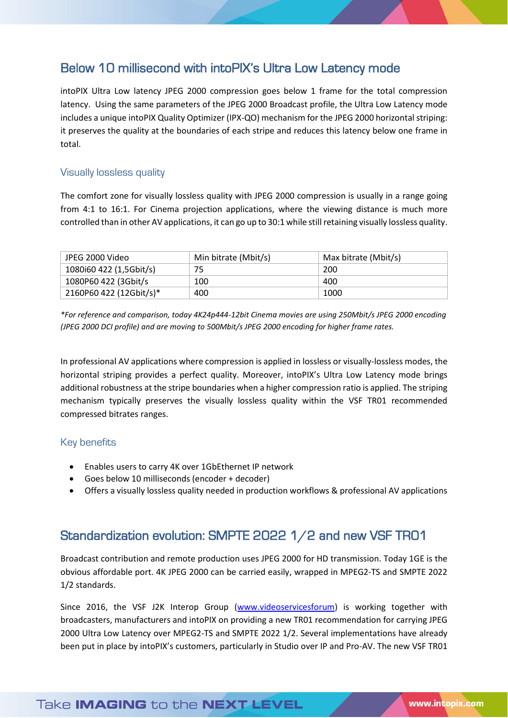### Below 10 millisecond with intoPIX's Ultra Low Latency mode

intoPIX Ultra Low latency JPEG 2000 compression goes below 1 frame for the total compression latency. Using the same parameters of the JPEG 2000 Broadcast profile, the Ultra Low Latency mode includes a unique intoPIX Quality Optimizer (IPX-QO) mechanism for the JPEG 2000 horizontal striping: it preserves the quality at the boundaries of each stripe and reduces this latency below one frame in total.

#### Visually lossless quality

The comfort zone for visually lossless quality with JPEG 2000 compression is usually in a range going from 4:1 to 16:1. For Cinema projection applications, where the viewing distance is much more controlled than in other AV applications, it can go up to 30:1 while still retaining visually lossless quality.

| JPEG 2000 Video         | Min bitrate (Mbit/s) | Max bitrate (Mbit/s) |
|-------------------------|----------------------|----------------------|
| 1080i60 422 (1,5Gbit/s) | 75                   | 200                  |
| 1080P60 422 (3Gbit/s)   | 100                  | 400                  |
| 2160P60 422 (12Gbit/s)* | 400                  | 1000                 |

*\*For reference and comparison, today 4K24p444-12bit Cinema movies are using 250Mbit/s JPEG 2000 encoding (JPEG 2000 DCI profile) and are moving to 500Mbit/s JPEG 2000 encoding for higher frame rates.*

In professional AV applications where compression is applied in lossless or visually-lossless modes, the horizontal striping provides a perfect quality. Moreover, intoPIX's Ultra Low Latency mode brings additional robustness at the stripe boundaries when a higher compression ratio is applied. The striping mechanism typically preserves the visually lossless quality within the VSF TR01 recommended compressed bitrates ranges.

#### Key benefits

- Enables users to carry 4K over 1GbEthernet IP network
- Goes below 10 milliseconds (encoder + decoder)
- Offers a visually lossless quality needed in production workflows & professional AV applications

### Standardization evolution: SMPTE 2022 1/2 and new VSF TR01

Broadcast contribution and remote production uses JPEG 2000 for HD transmission. Today 1GE is the obvious affordable port. 4K JPEG 2000 can be carried easily, wrapped in MPEG2-TS and SMPTE 2022 1/2 standards.

Since 2016, the VSF J2K Interop Group [\(www.videoservicesforum\)](http://www.videoservicesforum/) is working together with broadcasters, manufacturers and intoPIX on providing a new TR01 recommendation for carrying JPEG 2000 Ultra Low Latency over MPEG2-TS and SMPTE 2022 1/2. Several implementations have already been put in place by intoPIX's customers, particularly in Studio over IP and Pro-AV. The new VSF TR01